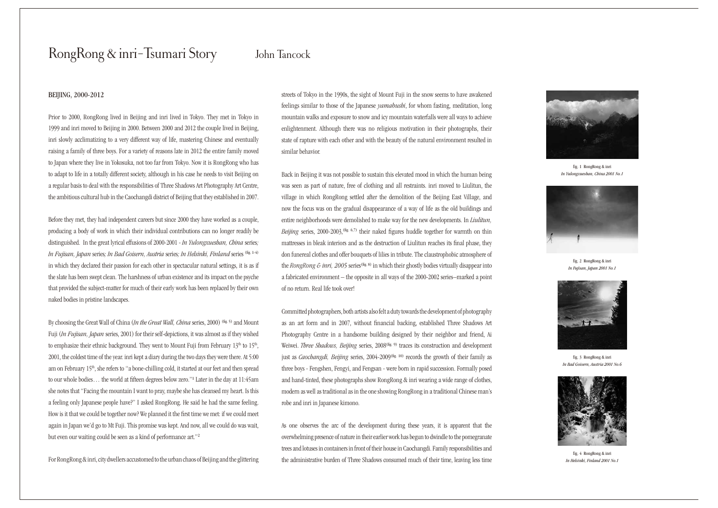# RongRong & inri-Tsumari Story

### BEIJING, 2000-2012

Prior to 2000, RongRong lived in Beijing and inri lived in Tokyo. They met in Tokyo in 1999 and inri moved to Beijing in 2000. Between 2000 and 2012 the couple lived in Beijing, inri slowly acclimatizing to a very different way of life, mastering Chinese and eventually raising a family of three boys. For a variety of reasons late in 2012 the entire family moved to Japan where they live in Yokosuka, not too far from Tokyo. Now it is RongRong who has to adapt to life in a totally different society, although in his case he needs to visit Beijing on a regular basis to deal with the responsibilities of Three Shadows Art Photography Art Centre, the ambitious cultural hub in the Caochangdi district of Beijing that they established in 2007.

Before they met, they had independent careers but since 2000 they have worked as a couple, producing a body of work in which their individual contributions can no longer readily be distinguished. In the great lyrical effusions of 2000-2001 - *In Yulongxueshan, China* series*; In Fujisan, Japan* series*; In Bad Goisern, Austria* series*; In Helsinki, Finland* series (fig. 1-4) in which they declared their passion for each other in spectacular natural settings, it is as if the slate has been swept clean. The harshness of urban existence and its impact on the psyche that provided the subject-matter for much of their early work has been replaced by their own naked bodies in pristine landscapes.

By choosing the Great Wall of China (*In the Great Wall, China* series, 2000) <sup>(fig. 5)</sup> and Mount Fuji (*In Fujisan, Japan* series, 2001) for their self-depictions, it was almost as if they wished to emphasize their ethnic background. They went to Mount Fuji from February 13<sup>th</sup> to 15<sup>th</sup>, 2001, the coldest time of the year. inri kept a diary during the two days they were there. At 5:00 am on February 15th, she refers to "a bone-chilling cold, it started at our feet and then spread to our whole bodies… the world at fifteen degrees below zero."1 Later in the day at 11:45am she notes that "Facing the mountain I want to pray, maybe she has cleansed my heart. Is this a feeling only Japanese people have?" I asked RongRong. He said he had the same feeling. How is it that we could be together now? We planned it the first time we met: if we could meet again in Japan we'd go to Mt Fuji. This promise was kept. And now, all we could do was wait, but even our waiting could be seen as a kind of performance art."<sup>2</sup>

For RongRong & inri, city dwellers accustomed to the urban chaos of Beijing and the glittering

# John Tancock

streets of Tokyo in the 1990s, the sight of Mount Fuji in the snow seems to have awakened feelings similar to those of the Japanese *yamabushi*, for whom fasting, meditation, long mountain walks and exposure to snow and icy mountain waterfalls were all ways to achieve enlightenment. Although there was no religious motivation in their photographs, their state of rapture with each other and with the beauty of the natural environment resulted in similar behavior.

Back in Beijing it was not possible to sustain this elevated mood in which the human being was seen as part of nature, free of clothing and all restraints. inri moved to Liulitun, the village in which RongRong settled after the demolition of the Beijing East Village, and now the focus was on the gradual disappearance of a way of life as the old buildings and entire neighborhoods were demolished to make way for the new developments. In *Liulitun, Beijing series, 2000-2003*, <sup>(fig. 6,7)</sup> their naked figures huddle together for warmth on thin mattresses in bleak interiors and as the destruction of Liulitun reaches its final phase, they don funereal clothes and offer bouquets of lilies in tribute. The claustrophobic atmosphere of the *RongRong & inri, 2005* series<sup>(fig. 8)</sup> in which their ghostly bodies virtually disappear into a fabricated environment – the opposite in all ways of the 2000-2002 series–marked a point of no return. Real life took over!

Committed photographers, both artists also felt a duty towards the development of photography as an art form and in 2007, without financial backing, established Three Shadows Art Photography Centre in a handsome building designed by their neighbor and friend, Ai Weiwei. *Three Shadows, Beijing series, 2008*<sup>(fig. 9)</sup> traces its construction and development just as *Caochangdi, Beijing* series, 2004-2009<sup>(fig. 10)</sup> records the growth of their family as three boys - Fengshen, Fengyi, and Fengsan - were born in rapid succession. Formally posed and hand-tinted, these photographs show RongRong & inri wearing a wide range of clothes, modern as well as traditional as in the one showing RongRong in a traditional Chinese man's robe and inri in Japanese kimono.

As one observes the arc of the development during these years, it is apparent that the overwhelming presence of nature in their earlier work has begun to dwindle to the pomegranate trees and lotuses in containers in front of their house in Caochangdi. Family responsibilities and the administrative burden of Three Shadows consumed much of their time, leaving less time



fig. 1 RongRong & inri *In Yulongxueshan, China 2001 No.1*



fig. 2 RongRong & inri *In Fujisan, Japan 2001 No.1*



fig. 3 RongRong & inri *In Bad Goisern, Austria 2001 No.6*



fig. 4 RongRong & inri *In Helsinki, Finland 2001 No.1*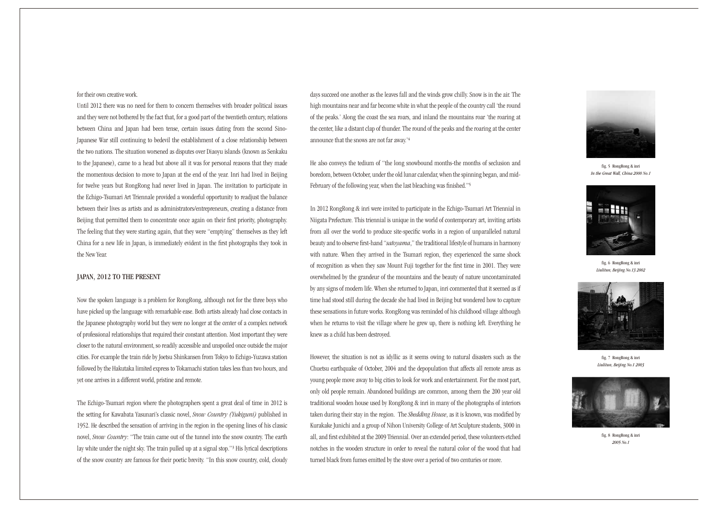#### for their own creative work.

Until 2012 there was no need for them to concern themselves with broader political issues and they were not bothered by the fact that, for a good part of the twentieth century, relations between China and Japan had been tense, certain issues dating from the second Sino-Japanese War still continuing to bedevil the establishment of a close relationship between the two nations. The situation worsened as disputes over Diaoyu islands (known as Senkaku to the Japanese), came to a head but above all it was for personal reasons that they made the momentous decision to move to Japan at the end of the year. Inri had lived in Beijing for twelve years but RongRong had never lived in Japan. The invitation to participate in the Echigo-Tsumari Art Triennale provided a wonderful opportunity to readjust the balance between their lives as artists and as administrators/entrepreneurs, creating a distance from Beijing that permitted them to concentrate once again on their first priority, photography. The feeling that they were starting again, that they were "emptying" themselves as they left China for a new life in Japan, is immediately evident in the first photographs they took in the New Year.

## JAPAN, 2012 TO THE PRESENT

Now the spoken language is a problem for RongRong, although not for the three boys who have picked up the language with remarkable ease. Both artists already had close contacts in the Japanese photography world but they were no longer at the center of a complex network of professional relationships that required their constant attention. Most important they were closer to the natural environment, so readily accessible and unspoiled once outside the major cities. For example the train ride by Joetsu Shinkansen from Tokyo to Echigo-Yuzawa station followed by the Hakutaka limited express to Tokamachi station takes less than two hours, and yet one arrives in a different world, pristine and remote.

The Echigo-Tsumari region where the photographers spent a great deal of time in 2012 is the setting for Kawabata Yasunari's classic novel, *Snow Country (Yukiguni)* published in 1952. He described the sensation of arriving in the region in the opening lines of his classic novel, *Snow Country*: "The train came out of the tunnel into the snow country. The earth lay white under the night sky. The train pulled up at a signal stop."3 His lyrical descriptions of the snow country are famous for their poetic brevity. "In this snow country, cold, cloudy days succeed one another as the leaves fall and the winds grow chilly. Snow is in the air. The high mountains near and far become white in what the people of the country call 'the round of the peaks.' Along the coast the sea roars, and inland the mountains roar 'the roaring at the center, like a distant clap of thunder. The round of the peaks and the roaring at the center announce that the snows are not far away.'<sup>4</sup>

He also conveys the tedium of "the long snowbound months-the months of seclusion and boredom, between October, under the old lunar calendar, when the spinning began, and mid-February of the following year, when the last bleaching was finished."<sup>5</sup>

In 2012 RongRong & inri were invited to participate in the Echigo-Tsumari Art Triennial in Niigata Prefecture. This triennial is unique in the world of contemporary art, inviting artists from all over the world to produce site-specific works in a region of unparalleled natural beauty and to observe first-hand "*satoyama*," the traditional lifestyle of humans in harmony with nature. When they arrived in the Tsumari region, they experienced the same shock of recognition as when they saw Mount Fuji together for the first time in 2001. They were overwhelmed by the grandeur of the mountains and the beauty of nature uncontaminated by any signs of modern life. When she returned to Japan, inri commented that it seemed as if time had stood still during the decade she had lived in Beijing but wondered how to capture these sensations in future works. RongRong was reminded of his childhood village although when he returns to visit the village where he grew up, there is nothing left. Everything he knew as a child has been destroyed.

However, the situation is not as idyllic as it seems owing to natural disasters such as the Chuetsu earthquake of October, 2004 and the depopulation that affects all remote areas as young people move away to big cities to look for work and entertainment. For the most part, only old people remain. Abandoned buildings are common, among them the 200 year old traditional wooden house used by RongRong & inri in many of the photographs of interiors taken during their stay in the region. The *Shedding House*, as it is known, was modified by Kurakake Junichi and a group of Nihon University College of Art Sculpture students, 3000 in all, and first exhibited at the 2009 Triennial. Over an extended period, these volunteers etched notches in the wooden structure in order to reveal the natural color of the wood that had turned black from fumes emitted by the stove over a period of two centuries or more.



fig. 5 RongRong & inri *In the Great Wall, China 2000 No.1*



fig. 6 RongRong & inri *Liulitun, Beijing No.13 2002*



fig. 7 RongRong & inri *Liulitun, Beijing No.1 2003*



fig. 8 RongRong & inri *2005 No.1*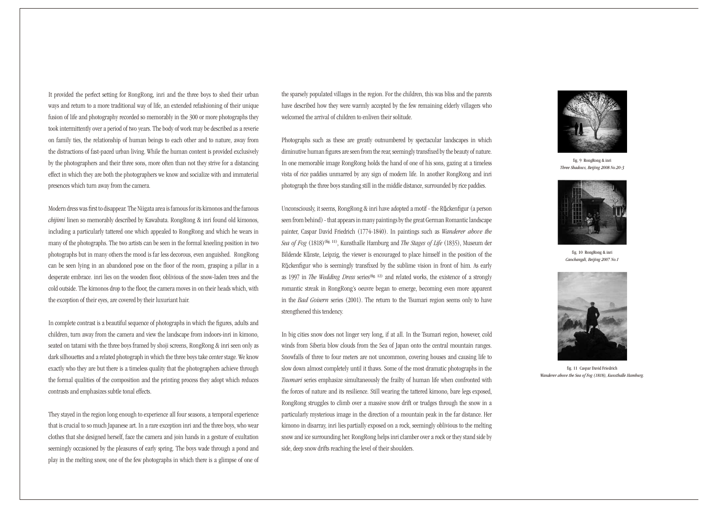It provided the perfect setting for RongRong, inri and the three boys to shed their urban ways and return to a more traditional way of life, an extended refashioning of their unique fusion of life and photography recorded so memorably in the 300 or more photographs they took intermittently over a period of two years. The body of work may be described as a reverie on family ties, the relationship of human beings to each other and to nature, away from the distractions of fast-paced urban living. While the human content is provided exclusively by the photographers and their three sons, more often than not they strive for a distancing effect in which they are both the photographers we know and socialize with and immaterial presences which turn away from the camera.

Modern dress was first to disappear. The Niigata area is famous for its kimonos and the famous *chijimi* linen so memorably described by Kawabata. RongRong & inri found old kimonos, including a particularly tattered one which appealed to RongRong and which he wears in many of the photographs. The two artists can be seen in the formal kneeling position in two photographs but in many others the mood is far less decorous, even anguished. RongRong can be seen lying in an abandoned pose on the floor of the room, grasping a pillar in a desperate embrace. inri lies on the wooden floor, oblivious of the snow-laden trees and the cold outside. The kimonos drop to the floor, the camera moves in on their heads which, with the exception of their eyes, are covered by their luxuriant hair.

In complete contrast is a beautiful sequence of photographs in which the figures, adults and children, turn away from the camera and view the landscape from indoors-inri in kimono, seated on tatami with the three boys framed by shoji screens, RongRong & inri seen only as dark silhouettes and a related photograph in which the three boys take center stage. We know exactly who they are but there is a timeless quality that the photographers achieve through the formal qualities of the composition and the printing process they adopt which reduces contrasts and emphasizes subtle tonal effects.

They stayed in the region long enough to experience all four seasons, a temporal experience that is crucial to so much Japanese art. In a rare exception inri and the three boys, who wear clothes that she designed herself, face the camera and join hands in a gesture of exultation seemingly occasioned by the pleasures of early spring. The boys wade through a pond and play in the melting snow, one of the few photographs in which there is a glimpse of one of

the sparsely populated villages in the region. For the children, this was bliss and the parents have described how they were warmly accepted by the few remaining elderly villagers who welcomed the arrival of children to enliven their solitude.

Photographs such as these are greatly outnumbered by spectacular landscapes in which diminutive human figures are seen from the rear, seemingly transfixed by the beauty of nature. In one memorable image RongRong holds the hand of one of his sons, gazing at a timeless vista of rice paddies unmarred by any sign of modern life. In another RongRong and inri photograph the three boys standing still in the middle distance, surrounded by rice paddies.

Unconsciously, it seems, RongRong & inri have adopted a motif - the Rückenfigur (a person seen from behind) - that appears in many paintings by the great German Romantic landscape painter, Caspar David Friedrich (1774-1840). In paintings such as *Wanderer above the Sea of Fog* (1818)(fig. 11), Kunsthalle Hamburg and *The Stages of Life* (1835), Museum der Bildende Künste, Leipzig, the viewer is encouraged to place himself in the position of the Rückenfigur who is seemingly transfixed by the sublime vision in front of him. As early as 1997 in *The Wedding Dress* series<sup>(fig. 12)</sup> and related works, the existence of a strongly romantic streak in RongRong's oeuvre began to emerge, becoming even more apparent in the *Bad Goisern* series (2001). The return to the Tsumari region seems only to have strengthened this tendency.

In big cities snow does not linger very long, if at all. In the Tsumari region, however, cold winds from Siberia blow clouds from the Sea of Japan onto the central mountain ranges. Snowfalls of three to four meters are not uncommon, covering houses and causing life to slow down almost completely until it thaws. Some of the most dramatic photographs in the *Tsumari* series emphasize simultaneously the frailty of human life when confronted with the forces of nature and its resilience. Still wearing the tattered kimono, bare legs exposed, RongRong struggles to climb over a massive snow drift or trudges through the snow in a particularly mysterious image in the direction of a mountain peak in the far distance. Her kimono in disarray, inri lies partially exposed on a rock, seemingly oblivious to the melting snow and ice surrounding her. RongRong helps inri clamber over a rock or they stand side by side, deep snow drifts reaching the level of their shoulders.



fig. 9 RongRong & inri *Three Shadows, Beijing 2008 No.20-3*



fig. 10 RongRong & inri *Caochangdi, Beijing 2007 No.1*



fig. 11 Caspar David Friedrich *Wanderer above the Sea of Fog (1818), Kunsthalle Hamburg.*